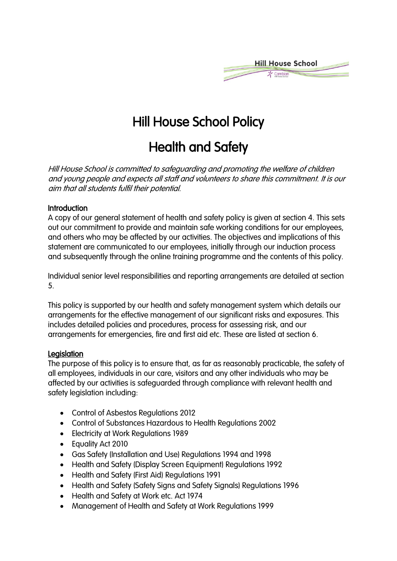

# Hill House School Policy

## Health and Safety

Hill House School is committed to safeguarding and promoting the welfare of children and young people and expects all staff and volunteers to share this commitment. It is our aim that all students fulfil their potential.

#### **Introduction**

A copy of our general statement of health and safety policy is given at section 4. This sets out our commitment to provide and maintain safe working conditions for our employees, and others who may be affected by our activities. The objectives and implications of this statement are communicated to our employees, initially through our induction process and subsequently through the online training programme and the contents of this policy.

Individual senior level responsibilities and reporting arrangements are detailed at section 5.

This policy is supported by our health and safety management system which details our arrangements for the effective management of our significant risks and exposures. This includes detailed policies and procedures, process for assessing risk, and our arrangements for emergencies, fire and first aid etc. These are listed at section 6.

#### **Legislation**

The purpose of this policy is to ensure that, as far as reasonably practicable, the safety of all employees, individuals in our care, visitors and any other individuals who may be affected by our activities is safeguarded through compliance with relevant health and safety legislation including:

- Control of Asbestos Regulations 2012
- Control of Substances Hazardous to Health Regulations 2002
- Electricity at Work Regulations 1989
- Equality Act 2010
- Gas Safety (Installation and Use) Regulations 1994 and 1998
- Health and Safety (Display Screen Equipment) Regulations 1992
- Health and Safety (First Aid) Regulations 1991
- Health and Safety (Safety Signs and Safety Signals) Regulations 1996
- Health and Safety at Work etc. Act 1974
- Management of Health and Safety at Work Regulations 1999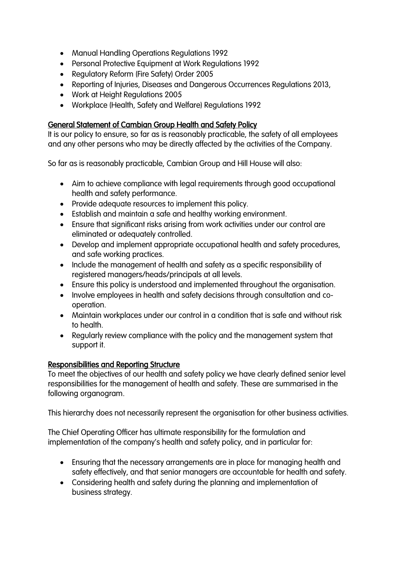- Manual Handling Operations Regulations 1992
- Personal Protective Equipment at Work Regulations 1992
- Regulatory Reform (Fire Safety) Order 2005
- Reporting of Injuries, Diseases and Dangerous Occurrences Regulations 2013,
- Work at Height Regulations 2005
- Workplace (Health, Safety and Welfare) Regulations 1992

### General Statement of Cambian Group Health and Safety Policy

It is our policy to ensure, so far as is reasonably practicable, the safety of all employees and any other persons who may be directly affected by the activities of the Company.

So far as is reasonably practicable, Cambian Group and Hill House will also:

- Aim to achieve compliance with legal requirements through good occupational health and safety performance.
- Provide adequate resources to implement this policy.
- Establish and maintain a safe and healthy working environment.
- Ensure that significant risks arising from work activities under our control are eliminated or adequately controlled.
- Develop and implement appropriate occupational health and safety procedures, and safe working practices.
- Include the management of health and safety as a specific responsibility of registered managers/heads/principals at all levels.
- Ensure this policy is understood and implemented throughout the organisation.
- Involve employees in health and safety decisions through consultation and cooperation.
- Maintain workplaces under our control in a condition that is safe and without risk to health.
- Regularly review compliance with the policy and the management system that support it.

#### Responsibilities and Reporting Structure

To meet the objectives of our health and safety policy we have clearly defined senior level responsibilities for the management of health and safety. These are summarised in the following organogram.

This hierarchy does not necessarily represent the organisation for other business activities.

The Chief Operating Officer has ultimate responsibility for the formulation and implementation of the company's health and safety policy, and in particular for:

- Ensuring that the necessary arrangements are in place for managing health and safety effectively, and that senior managers are accountable for health and safety.
- Considering health and safety during the planning and implementation of business strategy.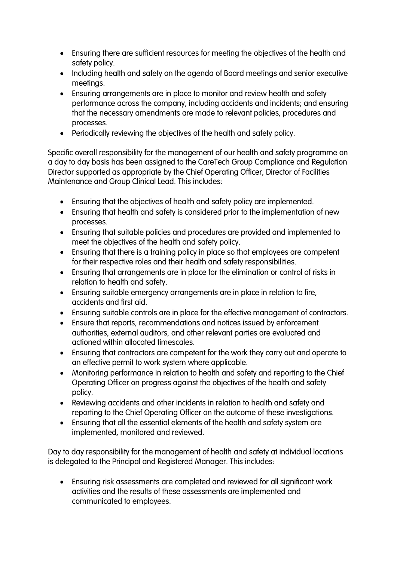- Ensuring there are sufficient resources for meeting the objectives of the health and safety policy.
- Including health and safety on the agenda of Board meetings and senior executive meetings.
- Ensuring arrangements are in place to monitor and review health and safety performance across the company, including accidents and incidents; and ensuring that the necessary amendments are made to relevant policies, procedures and processes.
- Periodically reviewing the objectives of the health and safety policy.

Specific overall responsibility for the management of our health and safety programme on a day to day basis has been assigned to the CareTech Group Compliance and Regulation Director supported as appropriate by the Chief Operating Officer, Director of Facilities Maintenance and Group Clinical Lead. This includes:

- Ensuring that the objectives of health and safety policy are implemented.
- Ensuring that health and safety is considered prior to the implementation of new processes.
- Ensuring that suitable policies and procedures are provided and implemented to meet the objectives of the health and safety policy.
- Ensuring that there is a training policy in place so that employees are competent for their respective roles and their health and safety responsibilities.
- Ensuring that arrangements are in place for the elimination or control of risks in relation to health and safety.
- Ensuring suitable emergency arrangements are in place in relation to fire, accidents and first aid.
- Ensuring suitable controls are in place for the effective management of contractors.
- Ensure that reports, recommendations and notices issued by enforcement authorities, external auditors, and other relevant parties are evaluated and actioned within allocated timescales.
- Ensuring that contractors are competent for the work they carry out and operate to an effective permit to work system where applicable.
- Monitoring performance in relation to health and safety and reporting to the Chief Operating Officer on progress against the objectives of the health and safety policy.
- Reviewing accidents and other incidents in relation to health and safety and reporting to the Chief Operating Officer on the outcome of these investigations.
- Ensuring that all the essential elements of the health and safety system are implemented, monitored and reviewed.

Day to day responsibility for the management of health and safety at individual locations is delegated to the Principal and Registered Manager. This includes:

• Ensuring risk assessments are completed and reviewed for all significant work activities and the results of these assessments are implemented and communicated to employees.